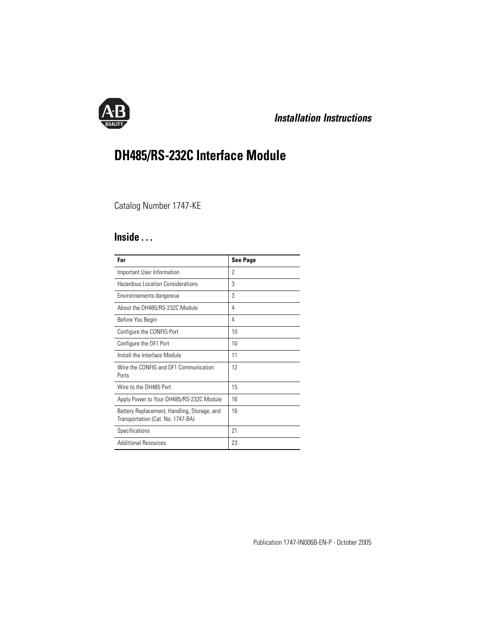

# *Installation Instructions*

# **DH485/RS-232C Interface Module**

## Catalog Number 1747-KE

## **Inside . . .**

| For                                                                              | <b>See Page</b> |
|----------------------------------------------------------------------------------|-----------------|
| Important User Information                                                       | 2               |
| Hazardous Location Considerations                                                | 3               |
| Environnements dangereux                                                         | 3               |
| About the DH485/RS-232C Module                                                   | 4               |
| Before You Begin                                                                 | 4               |
| Configure the CONFIG Port                                                        | 10              |
| Configure the DF1 Port                                                           | 10              |
| Install the Interface Module                                                     | 11              |
| Wire the CONFIG and DF1 Communication<br>Ports                                   | 12              |
| Wire to the DH485 Port                                                           | 15              |
| Apply Power to Your DH485/RS-232C Module                                         | 16              |
| Battery Replacement, Handling, Storage, and<br>Transportation (Cat. No. 1747-BA) | 16              |
| Specifications                                                                   | 21              |
| <b>Additional Resources</b>                                                      | 23              |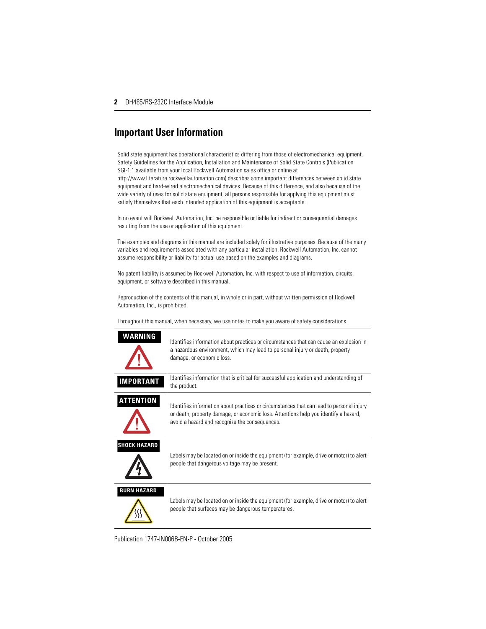## <span id="page-1-0"></span>**Important User Information**

Solid state equipment has operational characteristics differing from those of electromechanical equipment. Safety Guidelines for the Application, Installation and Maintenance of Solid State Controls (Publication SGI-1.1 available from your local Rockwell Automation sales office or online at http://www.literature.rockwellautomation.com) describes some important differences between solid state equipment and hard-wired electromechanical devices. Because of this difference, and also because of the wide variety of uses for solid state equipment, all persons responsible for applying this equipment must satisfy themselves that each intended application of this equipment is acceptable.

In no event will Rockwell Automation, Inc. be responsible or liable for indirect or consequential damages resulting from the use or application of this equipment.

The examples and diagrams in this manual are included solely for illustrative purposes. Because of the many variables and requirements associated with any particular installation, Rockwell Automation, Inc. cannot assume responsibility or liability for actual use based on the examples and diagrams.

No patent liability is assumed by Rockwell Automation, Inc. with respect to use of information, circuits, equipment, or software described in this manual.

Reproduction of the contents of this manual, in whole or in part, without written permission of Rockwell Automation, Inc., is prohibited.

Throughout this manual, when necessary, we use notes to make you aware of safety considerations.

| WARNING             | Identifies information about practices or circumstances that can cause an explosion in<br>a hazardous environment, which may lead to personal injury or death, property<br>damage, or economic loss.                              |
|---------------------|-----------------------------------------------------------------------------------------------------------------------------------------------------------------------------------------------------------------------------------|
| <b>IMPORTANT</b>    | Identifies information that is critical for successful application and understanding of<br>the product.                                                                                                                           |
| <b>ATTENTION</b>    | Identifies information about practices or circumstances that can lead to personal injury<br>or death, property damage, or economic loss. Attentions help you identify a hazard,<br>avoid a hazard and recognize the consequences. |
| <b>SHOCK HAZARD</b> | Labels may be located on or inside the equipment (for example, drive or motor) to alert<br>people that dangerous voltage may be present.                                                                                          |
| <b>BURN HAZARD</b>  | Labels may be located on or inside the equipment (for example, drive or motor) to alert<br>people that surfaces may be dangerous temperatures.                                                                                    |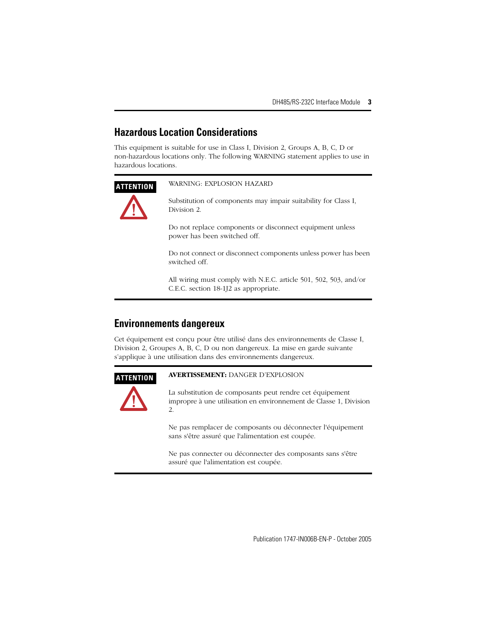## <span id="page-2-0"></span>**Hazardous Location Considerations**

This equipment is suitable for use in Class I, Division 2, Groups A, B, C, D or non-hazardous locations only. The following WARNING statement applies to use in hazardous locations.

## **ATTENTION** WARNING: EXPLOSION HAZARD

Substitution of components may impair suitability for Class I, Division 2.

Do not replace components or disconnect equipment unless power has been switched off.

Do not connect or disconnect components unless power has been switched off.

All wiring must comply with N.E.C. article 501, 502, 503, and/or C.E.C. section 18-1J2 as appropriate.

## <span id="page-2-1"></span>**Environnements dangereux**

Cet équipement est conçu pour être utilisé dans des environnements de Classe I, Division 2, Groupes A, B, C, D ou non dangereux. La mise en garde suivante s'applique à une utilisation dans des environnements dangereux.



### **ATTENTION AVERTISSEMENT:** DANGER D'EXPLOSION

La substitution de composants peut rendre cet équipement impropre à une utilisation en environnement de Classe 1, Division 2.

Ne pas remplacer de composants ou déconnecter l'équipement sans s'être assuré que l'alimentation est coupée.

Ne pas connecter ou déconnecter des composants sans s'être assuré que l'alimentation est coupée.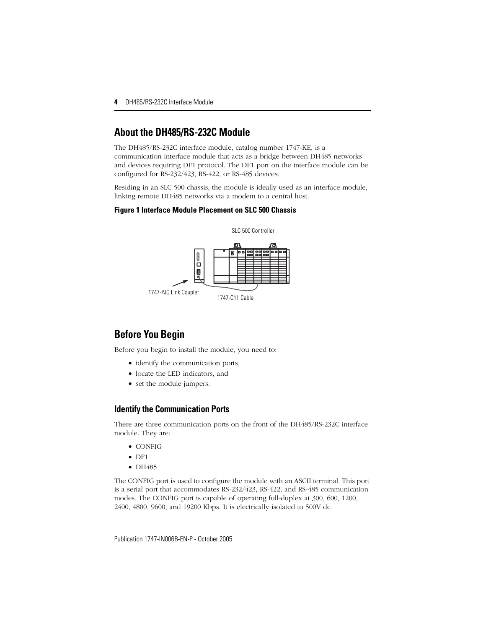# <span id="page-3-0"></span>**About the DH485/RS-232C Module**

The DH485/RS-232C interface module, catalog number 1747-KE, is a communication interface module that acts as a bridge between DH485 networks and devices requiring DF1 protocol. The DF1 port on the interface module can be configured for RS-232/423, RS-422, or RS-485 devices.

Residing in an SLC 500 chassis, the module is ideally used as an interface module, linking remote DH485 networks via a modem to a central host.

#### **Figure 1 Interface Module Placement on SLC 500 Chassis**



# <span id="page-3-1"></span>**Before You Begin**

Before you begin to install the module, you need to:

- identify the communication ports,
- locate the LED indicators, and
- set the module jumpers.

## **Identify the Communication Ports**

There are three communication ports on the front of the DH485/RS-232C interface module. They are:

- CONFIG
- DF1
- DH485

The CONFIG port is used to configure the module with an ASCII terminal. This port is a serial port that accommodates RS-232/423, RS-422, and RS-485 communication modes. The CONFIG port is capable of operating full-duplex at 300, 600, 1200, 2400, 4800, 9600, and 19200 Kbps. It is electrically isolated to 500V dc.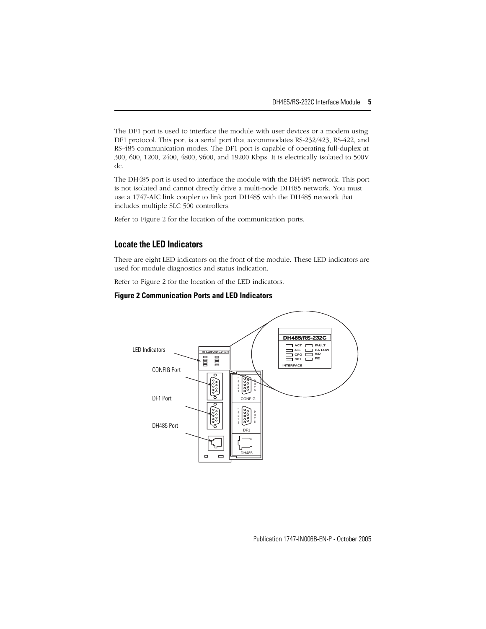The DF1 port is used to interface the module with user devices or a modem using DF1 protocol. This port is a serial port that accommodates RS-232/423, RS-422, and RS-485 communication modes. The DF1 port is capable of operating full-duplex at 300, 600, 1200, 2400, 4800, 9600, and 19200 Kbps. It is electrically isolated to 500V dc.

The DH485 port is used to interface the module with the DH485 network. This port is not isolated and cannot directly drive a multi-node DH485 network. You must use a 1747-AIC link coupler to link port DH485 with the DH485 network that includes multiple SLC 500 controllers.

Refer to [Figure 2](#page-4-0) for the location of the communication ports.

### **Locate the LED Indicators**

There are eight LED indicators on the front of the module. These LED indicators are used for module diagnostics and status indication.

Refer to [Figure 2](#page-4-0) for the location of the LED indicators.

#### <span id="page-4-0"></span>**Figure 2 Communication Ports and LED Indicators**

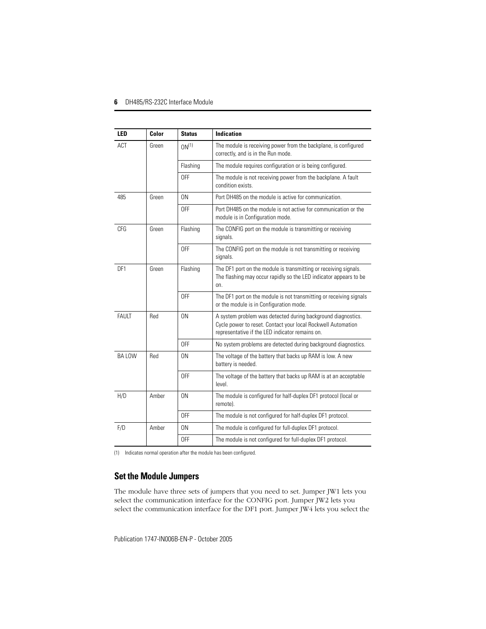| <b>LED</b>      | Color | <b>Status</b> | <b>Indication</b>                                                                                                                                                               |
|-----------------|-------|---------------|---------------------------------------------------------------------------------------------------------------------------------------------------------------------------------|
| ACT             | Green | $ON^{(1)}$    | The module is receiving power from the backplane, is configured<br>correctly, and is in the Run mode.                                                                           |
|                 |       | Flashing      | The module requires configuration or is being configured.                                                                                                                       |
|                 |       | 0FF           | The module is not receiving power from the backplane. A fault<br>condition exists.                                                                                              |
| 485             | Green | 0N            | Port DH485 on the module is active for communication.                                                                                                                           |
|                 |       | <b>OFF</b>    | Port DH485 on the module is not active for communication or the<br>module is in Configuration mode.                                                                             |
| <b>CFG</b>      | Green | Flashing      | The CONFIG port on the module is transmitting or receiving<br>signals.                                                                                                          |
|                 |       | 0FF           | The CONFIG port on the module is not transmitting or receiving<br>signals.                                                                                                      |
| DF <sub>1</sub> | Green | Flashing      | The DF1 port on the module is transmitting or receiving signals.<br>The flashing may occur rapidly so the LED indicator appears to be<br>on.                                    |
|                 |       | 0FF           | The DF1 port on the module is not transmitting or receiving signals<br>or the module is in Configuration mode.                                                                  |
| FAULT           | Red   | 0N            | A system problem was detected during background diagnostics.<br>Cycle power to reset. Contact your local Rockwell Automation<br>representative if the LED indicator remains on. |
|                 |       | 0FF           | No system problems are detected during background diagnostics.                                                                                                                  |
| <b>BALOW</b>    | Red   | 0N            | The voltage of the battery that backs up RAM is low. A new<br>battery is needed.                                                                                                |
|                 |       | 0FF           | The voltage of the battery that backs up RAM is at an acceptable<br>level.                                                                                                      |
| H/D             | Amber | 0N            | The module is configured for half-duplex DF1 protocol (local or<br>remote).                                                                                                     |
|                 |       | <b>OFF</b>    | The module is not configured for half-duplex DF1 protocol.                                                                                                                      |
| F/D             | Amber | 0N            | The module is configured for full-duplex DF1 protocol.                                                                                                                          |
|                 |       | <b>OFF</b>    | The module is not configured for full-duplex DF1 protocol.                                                                                                                      |

(1) Indicates normal operation after the module has been configured.

### **Set the Module Jumpers**

The module have three sets of jumpers that you need to set. Jumper JW1 lets you select the communication interface for the CONFIG port. Jumper JW2 lets you select the communication interface for the DF1 port. Jumper JW4 lets you select the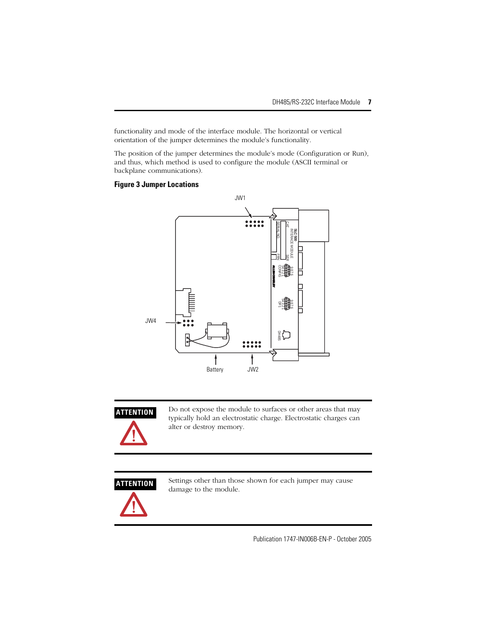functionality and mode of the interface module. The horizontal or vertical orientation of the jumper determines the module's functionality.

The position of the jumper determines the module's mode (Configuration or Run), and thus, which method is used to configure the module (ASCII terminal or backplane communications).

#### <span id="page-6-0"></span>**Figure 3 Jumper Locations**





**ATTENTION** Do not expose the module to surfaces or other areas that may typically hold an electrostatic charge. Electrostatic charges can alter or destroy memory.



**ATTENTION** Settings other than those shown for each jumper may cause damage to the module.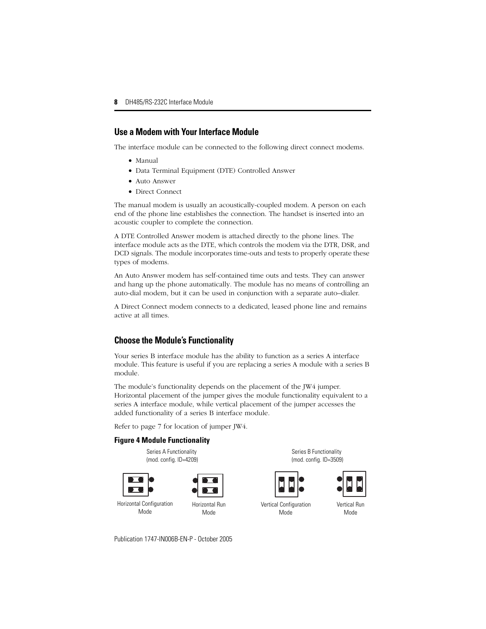### **Use a Modem with Your Interface Module**

The interface module can be connected to the following direct connect modems.

- Manual
- Data Terminal Equipment (DTE) Controlled Answer
- Auto Answer
- Direct Connect

The manual modem is usually an acoustically-coupled modem. A person on each end of the phone line establishes the connection. The handset is inserted into an acoustic coupler to complete the connection.

A DTE Controlled Answer modem is attached directly to the phone lines. The interface module acts as the DTE, which controls the modem via the DTR, DSR, and DCD signals. The module incorporates time-outs and tests to properly operate these types of modems.

An Auto Answer modem has self-contained time outs and tests. They can answer and hang up the phone automatically. The module has no means of controlling an auto-dial modem, but it can be used in conjunction with a separate auto–dialer.

A Direct Connect modem connects to a dedicated, leased phone line and remains active at all times.

### **Choose the Module's Functionality**

Your series B interface module has the ability to function as a series A interface module. This feature is useful if you are replacing a series A module with a series B module.

The module's functionality depends on the placement of the JW4 jumper. Horizontal placement of the jumper gives the module functionality equivalent to a series A interface module, while vertical placement of the jumper accesses the added functionality of a series B interface module.

Refer to page [7](#page-6-0) for location of jumper JW4.

#### **Figure 4 Module Functionality**

Series A Functionality (mod. config. ID=4209)



Horizontal Configuration Mode



Horizontal Run Mode

Series B Functionality (mod. config. ID=3509)





Vertical Configuration Mode

Vertical Run Mode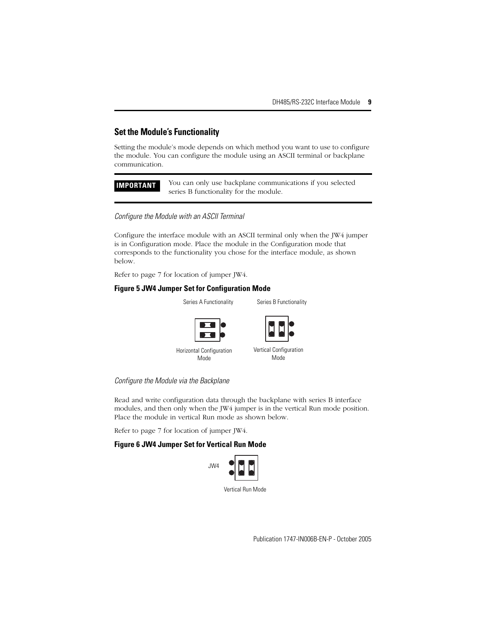## **Set the Module's Functionality**

Setting the module's mode depends on which method you want to use to configure the module. You can configure the module using an ASCII terminal or backplane communication.

| <b>IMPORTANT</b> |
|------------------|
|------------------|

u can only use backplane communications if you selected series B functionality for the module.

#### *Configure the Module with an ASCII Terminal*

Configure the interface module with an ASCII terminal only when the JW4 jumper is in Configuration mode. Place the module in the Configuration mode that corresponds to the functionality you chose for the interface module, as shown below.

Refer to page [7](#page-6-0) for location of jumper JW4.

#### **Figure 5 JW4 Jumper Set for Configuration Mode**



Horizontal Configuration Mode



#### *Configure the Module via the Backplane*

Read and write configuration data through the backplane with series B interface modules, and then only when the JW4 jumper is in the vertical Run mode position. Place the module in vertical Run mode as shown below.

Refer to page [7](#page-6-0) for location of jumper JW4.

#### **Figure 6 JW4 Jumper Set for Vertical Run Mode**



Vertical Run Mode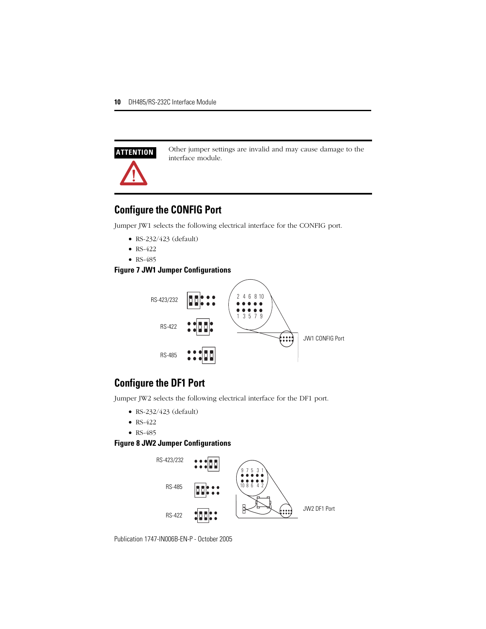

**ATTENTION** Other jumper settings are invalid and may cause damage to the interface module.

## <span id="page-9-0"></span>**Configure the CONFIG Port**

Jumper JW1 selects the following electrical interface for the CONFIG port.

- RS-232/423 (default)
- RS-422
- RS-485

#### **Figure 7 JW1 Jumper Configurations**



## <span id="page-9-1"></span>**Configure the DF1 Port**

Jumper JW2 selects the following electrical interface for the DF1 port.

- RS-232/423 (default)
- RS-422
- RS-485

#### **Figure 8 JW2 Jumper Configurations**



Publication 1747-IN006B-EN-P - October 2005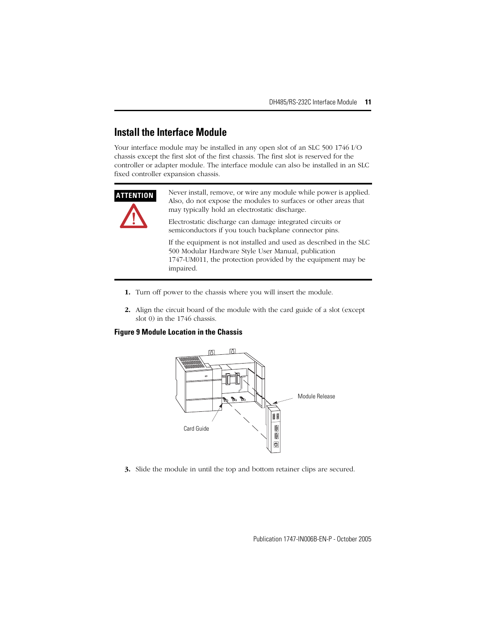## <span id="page-10-0"></span>**Install the Interface Module**

Your interface module may be installed in any open slot of an SLC 500 1746 I/O chassis except the first slot of the first chassis. The first slot is reserved for the controller or adapter module. The interface module can also be installed in an SLC fixed controller expansion chassis.



**ATTENTION** Never install, remove, or wire any module while power is applied. Also, do not expose the modules to surfaces or other areas that may typically hold an electrostatic discharge.

> Electrostatic discharge can damage integrated circuits or semiconductors if you touch backplane connector pins.

If the equipment is not installed and used as described in the SLC 500 Modular Hardware Style User Manual, publication 1747-UM011, the protection provided by the equipment may be impaired.

- **1.** Turn off power to the chassis where you will insert the module.
- **2.** Align the circuit board of the module with the card guide of a slot (except slot 0) in the 1746 chassis.

**Figure 9 Module Location in the Chassis**



**3.** Slide the module in until the top and bottom retainer clips are secured.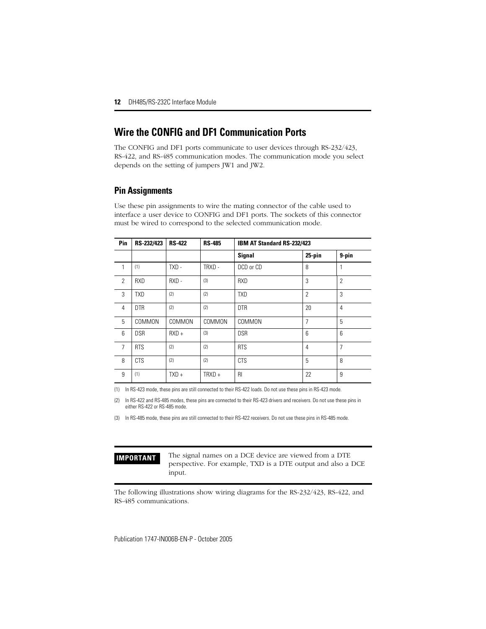## <span id="page-11-0"></span>**Wire the CONFIG and DF1 Communication Ports**

The CONFIG and DF1 ports communicate to user devices through RS-232/423, RS-422, and RS-485 communication modes. The communication mode you select depends on the setting of jumpers JW1 and JW2.

## **Pin Assignments**

Use these pin assignments to wire the mating connector of the cable used to interface a user device to CONFIG and DF1 ports. The sockets of this connector must be wired to correspond to the selected communication mode.

| Pin            | RS-232/423 | <b>RS-422</b> | <b>RS-485</b> | <b>IBM AT Standard RS-232/423</b> |                |                |
|----------------|------------|---------------|---------------|-----------------------------------|----------------|----------------|
|                |            |               |               | <b>Signal</b>                     | 25-pin         | 9-pin          |
| 1              | (1)        | $TXD -$       | TRXD-         | DCD or CD                         | 8              | 1              |
| $\overline{2}$ | <b>RXD</b> | $RXD -$       | (3)           | <b>RXD</b>                        | 3              | $\overline{2}$ |
| 3              | <b>TXD</b> | (2)           | (2)           | <b>TXD</b>                        | $\overline{2}$ | 3              |
| 4              | <b>DTR</b> | (2)           | (2)           | <b>DTR</b>                        | 20             | 4              |
| 5              | COMMON     | COMMON        | COMMON        | COMMON                            | 7              | 5              |
| 6              | <b>DSR</b> | $RXD +$       | (3)           | <b>DSR</b>                        | 6              | 6              |
| $\overline{7}$ | <b>RTS</b> | (2)           | (2)           | <b>RTS</b>                        | 4              | $\overline{7}$ |
| 8              | <b>CTS</b> | (2)           | (2)           | <b>CTS</b>                        | 5              | 8              |
| 9              | (1)        | $TXD +$       | $TRXD +$      | R <sub>l</sub>                    | 22             | 9              |

<span id="page-11-1"></span>(1) In RS-423 mode, these pins are still connected to their RS-422 loads. Do not use these pins in RS-423 mode.

<span id="page-11-2"></span>(2) In RS-422 and RS-485 modes, these pins are connected to their RS-423 drivers and receivers. Do not use these pins in either RS-422 or RS-485 mode.

<span id="page-11-3"></span>(3) In RS-485 mode, these pins are still connected to their RS-422 receivers. Do not use these pins in RS-485 mode.

**IMPORTANT** The signal names on a DCE device are viewed from a DTE perspective. For example, TXD is a DTE output and also a DCE input.

The following illustrations show wiring diagrams for the RS-232/423, RS-422, and RS-485 communications.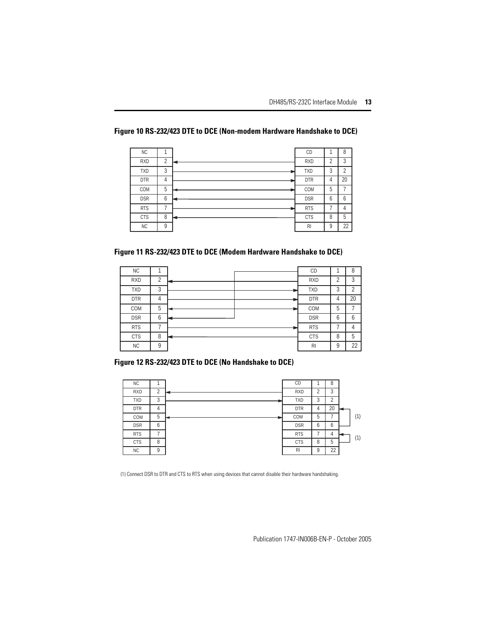| <b>NC</b>  |          | <b>CD</b>      |   | 8  |
|------------|----------|----------------|---|----|
| <b>RXD</b> | 2        | <b>RXD</b>     | 2 | 3  |
| <b>TXD</b> | 3        | <b>TXD</b>     | 3 | ำ  |
| <b>DTR</b> | 4        | <b>DTR</b>     | 4 | 20 |
| COM        | 5        | COM            | 5 |    |
| <b>DSR</b> | 6        | <b>DSR</b>     | 6 | 6  |
| <b>RTS</b> | 7        | <b>RTS</b>     | ∍ |    |
| <b>CTS</b> | 8        | <b>CTS</b>     | 8 | 5  |
| <b>NC</b>  | $\Omega$ | R <sub>l</sub> | 9 | 22 |

### **Figure 10 RS-232/423 DTE to DCE (Non-modem Hardware Handshake to DCE)**

#### **Figure 11 RS-232/423 DTE to DCE (Modem Hardware Handshake to DCE)**

| <b>NC</b>  |   |  | CD             |   | 8  |
|------------|---|--|----------------|---|----|
| RXD        | 2 |  | <b>RXD</b>     | 2 | 3  |
| <b>TXD</b> | 3 |  | <b>TXD</b>     | 3 |    |
| <b>DTR</b> | 4 |  | <b>DTR</b>     | 4 | 20 |
| COM        | 5 |  | COM            | 5 |    |
| <b>DSR</b> | 6 |  | <b>DSR</b>     | 6 | h  |
| <b>RTS</b> |   |  | <b>RTS</b>     |   |    |
| <b>CTS</b> | 8 |  | <b>CTS</b>     | 8 | 5  |
| <b>NC</b>  | Q |  | R <sub>l</sub> | 9 | 22 |

#### **Figure 12 RS-232/423 DTE to DCE (No Handshake to DCE)**



(1) Connect DSR to DTR and CTS to RTS when using devices that cannot disable their hardware handshaking.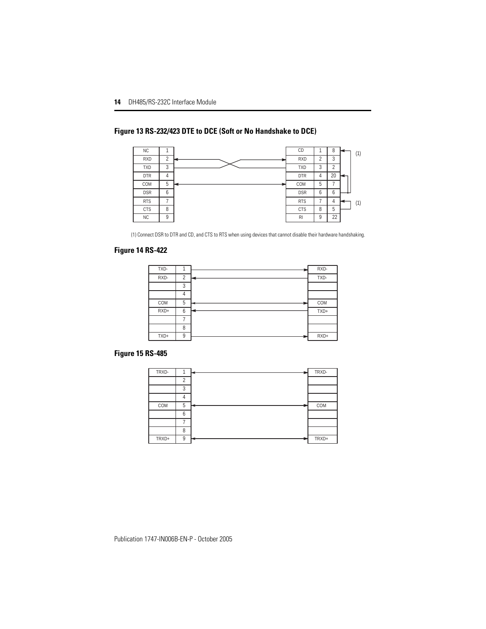



(1) Connect DSR to DTR and CD, and CTS to RTS when using devices that cannot disable their hardware handshaking.

#### **Figure 14 RS-422**



#### **Figure 15 RS-485**

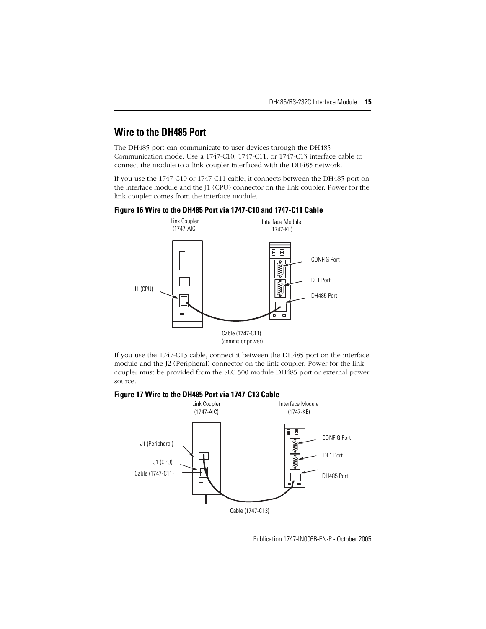# <span id="page-14-0"></span>**Wire to the DH485 Port**

The DH485 port can communicate to user devices through the DH485 Communication mode. Use a 1747-C10, 1747-C11, or 1747-C13 interface cable to connect the module to a link coupler interfaced with the DH485 network.

If you use the 1747-C10 or 1747-C11 cable, it connects between the DH485 port on the interface module and the J1 (CPU) connector on the link coupler. Power for the link coupler comes from the interface module.



#### **Figure 16 Wire to the DH485 Port via 1747-C10 and 1747-C11 Cable**

If you use the 1747-C13 cable, connect it between the DH485 port on the interface module and the J2 (Peripheral) connector on the link coupler. Power for the link coupler must be provided from the SLC 500 module DH485 port or external power source.

#### **Figure 17 Wire to the DH485 Port via 1747-C13 Cable**



Cable (1747-C13)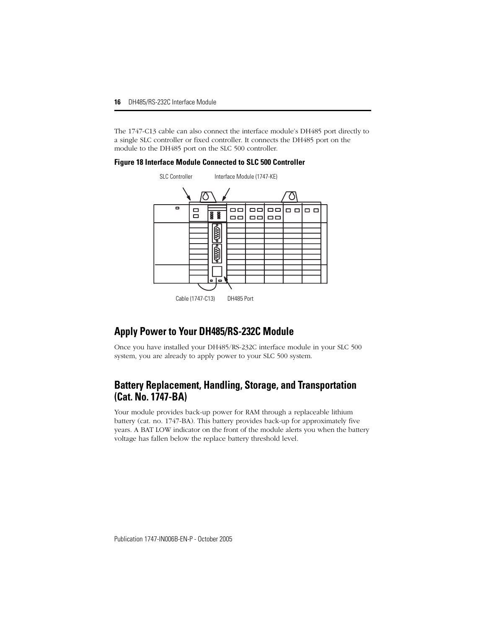The 1747-C13 cable can also connect the interface module's DH485 port directly to a single SLC controller or fixed controller. It connects the DH485 port on the module to the DH485 port on the SLC 500 controller.



#### **Figure 18 Interface Module Connected to SLC 500 Controller**

## <span id="page-15-0"></span>**Apply Power to Your DH485/RS-232C Module**

Once you have installed your DH485/RS-232C interface module in your SLC 500 system, you are already to apply power to your SLC 500 system.

## <span id="page-15-1"></span>**Battery Replacement, Handling, Storage, and Transportation (Cat. No. 1747-BA)**

Your module provides back-up power for RAM through a replaceable lithium battery (cat. no. 1747-BA). This battery provides back-up for approximately five years. A BAT LOW indicator on the front of the module alerts you when the battery voltage has fallen below the replace battery threshold level.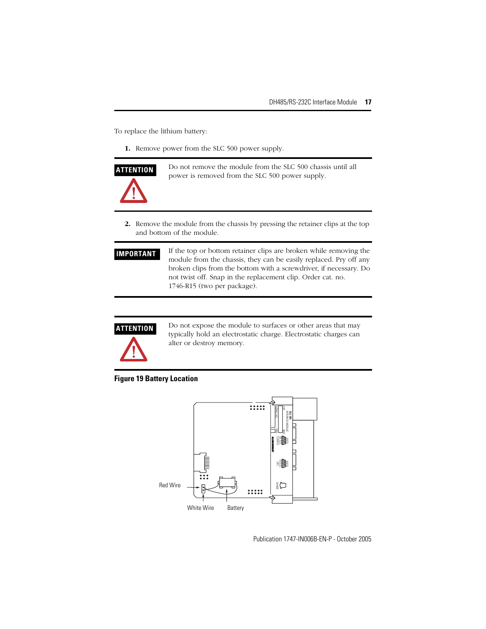To replace the lithium battery:

**1.** Remove power from the SLC 500 power supply.



**ATTENTION** Do not remove the module from the SLC 500 chassis until all power is removed from the SLC 500 power supply.

- **2.** Remove the module from the chassis by pressing the retainer clips at the top and bottom of the module.
- **IMPORTANT** If the top or bottom retainer clips are broken while removing the module from the chassis, they can be easily replaced. Pry off any broken clips from the bottom with a screwdriver, if necessary. Do not twist off. Snap in the replacement clip. Order cat. no. 1746-R15 (two per package).



**ATTENTION** Do not expose the module to surfaces or other areas that may typically hold an electrostatic charge. Electrostatic charges can alter or destroy memory.

#### **Figure 19 Battery Location**

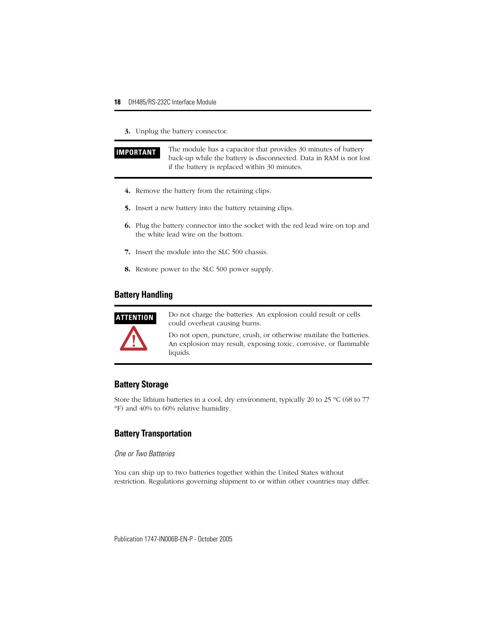**3.** Unplug the battery connector.

**IMPORTANT** The module has a capacitor that provides 30 minutes of battery back-up while the battery is disconnected. Data in RAM is not lost if the battery is replaced within 30 minutes.

- **4.** Remove the battery from the retaining clips.
- **5.** Insert a new battery into the battery retaining clips.
- **6.** Plug the battery connector into the socket with the red lead wire on top and the white lead wire on the bottom.
- **7.** Insert the module into the SLC 500 chassis.
- **8.** Restore power to the SLC 500 power supply.

### **Battery Handling**



**ATTENTION** Do not charge the batteries. An explosion could result or cells could overheat causing burns.

> Do not open, puncture, crush, or otherwise mutilate the batteries. An explosion may result, exposing toxic, corrosive, or flammable liquids.

### **Battery Storage**

Store the lithium batteries in a cool, dry environment, typically 20 to 25 °C (68 to 77 °F) and 40% to 60% relative humidity.

#### **Battery Transportation**

#### *One or Two Batteries*

You can ship up to two batteries together within the United States without restriction. Regulations governing shipment to or within other countries may differ.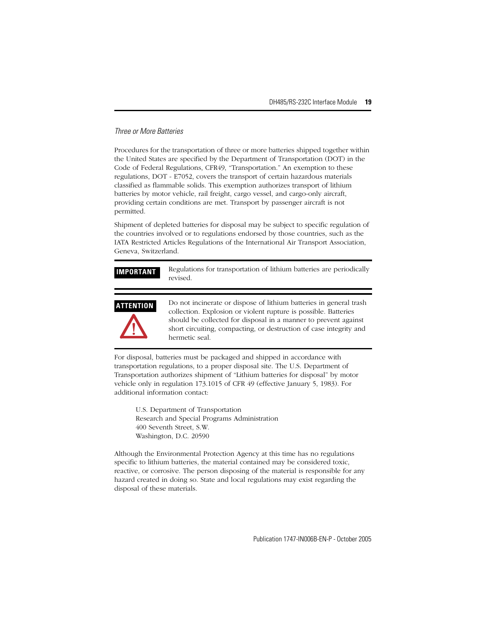#### *Three or More Batteries*

Procedures for the transportation of three or more batteries shipped together within the United States are specified by the Department of Transportation (DOT) in the Code of Federal Regulations, CFR49, "Transportation." An exemption to these regulations, DOT - E7052, covers the transport of certain hazardous materials classified as flammable solids. This exemption authorizes transport of lithium batteries by motor vehicle, rail freight, cargo vessel, and cargo-only aircraft, providing certain conditions are met. Transport by passenger aircraft is not permitted.

Shipment of depleted batteries for disposal may be subject to specific regulation of the countries involved or to regulations endorsed by those countries, such as the IATA Restricted Articles Regulations of the International Air Transport Association, Geneva, Switzerland.

**IMPORTANT** Regulations for transportation of lithium batteries are periodically revised.



**ATTENTION** Do not incinerate or dispose of lithium batteries in general trash collection. Explosion or violent rupture is possible. Batteries should be collected for disposal in a manner to prevent against short circuiting, compacting, or destruction of case integrity and hermetic seal.

For disposal, batteries must be packaged and shipped in accordance with transportation regulations, to a proper disposal site. The U.S. Department of Transportation authorizes shipment of "Lithium batteries for disposal" by motor vehicle only in regulation 173.1015 of CFR 49 (effective January 5, 1983). For additional information contact:

U.S. Department of Transportation Research and Special Programs Administration 400 Seventh Street, S.W. Washington, D.C. 20590

Although the Environmental Protection Agency at this time has no regulations specific to lithium batteries, the material contained may be considered toxic, reactive, or corrosive. The person disposing of the material is responsible for any hazard created in doing so. State and local regulations may exist regarding the disposal of these materials.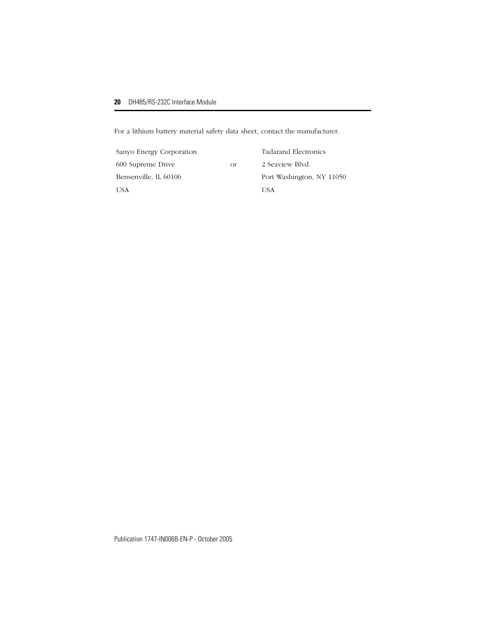For a lithium battery material safety data sheet, contact the manufacturer.

Sanyo Energy Corporation Tadarand Electronics 600 Supreme Drive or 2 Seaview Blvd. USA USA

Bensenville, IL 60106 Port Washington, NY 11050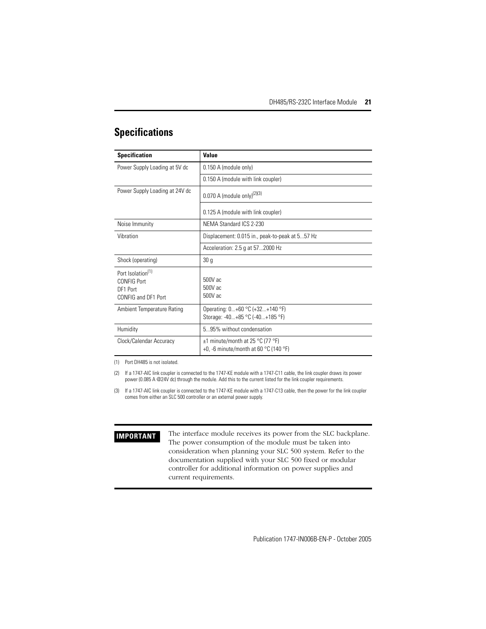## <span id="page-20-0"></span>**Specifications**

| <b>Specification</b>                                                            | Value                                                                          |
|---------------------------------------------------------------------------------|--------------------------------------------------------------------------------|
| Power Supply Loading at 5V dc                                                   | 0.150 A (module only)                                                          |
|                                                                                 | 0.150 A (module with link coupler)                                             |
| Power Supply Loading at 24V dc                                                  | 0.070 A (module only) <sup>(2)(3)</sup>                                        |
|                                                                                 | 0.125 A (module with link coupler)                                             |
| Noise Immunity                                                                  | NEMA Standard ICS 2-230                                                        |
| Vibration                                                                       | Displacement: 0.015 in., peak-to-peak at 557 Hz                                |
|                                                                                 | Acceleration: 2.5 g at 572000 Hz                                               |
| Shock (operating)                                                               | 30 <sub>g</sub>                                                                |
| Port Isolation <sup>(1)</sup><br>CONFIG Port<br>DF1 Port<br>CONFIG and DF1 Port | 500V ac<br>500V ac<br>500V ac                                                  |
| Ambient Temperature Rating                                                      | Operating: $0+60$ °C (+32+140 °F)<br>Storage: -40+85 °C (-40+185 °F)           |
| Humidity                                                                        | 595% without condensation                                                      |
| Clock/Calendar Accuracy                                                         | $\pm$ 1 minute/month at 25 °C (77 °F)<br>+0, -6 minute/month at 60 °C (140 °F) |

(1) Port DH485 is not isolated.

(2) If a 1747-AIC link coupler is connected to the 1747-KE module with a 1747-C11 cable, the link coupler draws its power power (0.085 A @24V dc) through the module. Add this to the current listed for the link coupler requirements.

(3) If a 1747-AIC link coupler is connected to the 1747-KE module with a 1747-C13 cable, then the power for the link coupler comes from either an SLC 500 controller or an external power supply.

**IMPORTANT** The interface module receives its power from the SLC backplane. The power consumption of the module must be taken into consideration when planning your SLC 500 system. Refer to the documentation supplied with your SLC 500 fixed or modular controller for additional information on power supplies and current requirements.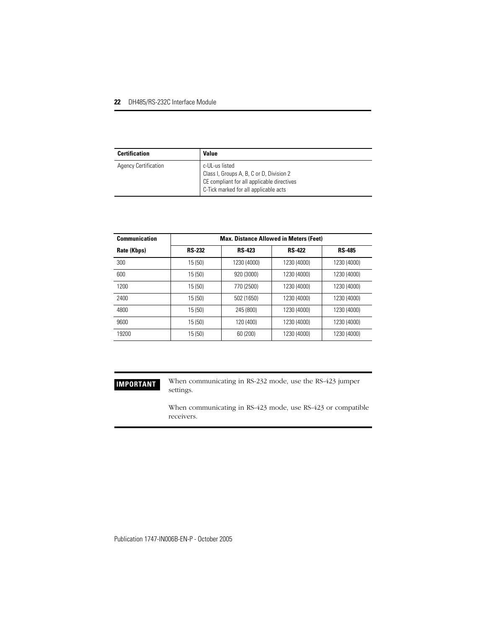| <b>Certification</b>        | Value                                                                                                                                             |
|-----------------------------|---------------------------------------------------------------------------------------------------------------------------------------------------|
| <b>Agency Certification</b> | c-UL-us listed<br>Class I, Groups A, B, C or D, Division 2<br>CE compliant for all applicable directives<br>C-Tick marked for all applicable acts |

| <b>Communication</b> | <b>Max. Distance Allowed in Meters (Feet)</b> |               |               |               |  |
|----------------------|-----------------------------------------------|---------------|---------------|---------------|--|
| Rate (Kbps)          | <b>RS-232</b>                                 | <b>RS-423</b> | <b>RS-422</b> | <b>RS-485</b> |  |
| 300                  | 15(50)                                        | 1230 (4000)   | 1230 (4000)   | 1230 (4000)   |  |
| 600                  | 15(50)                                        | 920 (3000)    | 1230 (4000)   | 1230 (4000)   |  |
| 1200                 | 15(50)                                        | 770 (2500)    | 1230 (4000)   | 1230 (4000)   |  |
| 2400                 | 15(50)                                        | 502 (1650)    | 1230 (4000)   | 1230 (4000)   |  |
| 4800                 | 15(50)                                        | 245 (800)     | 1230 (4000)   | 1230 (4000)   |  |
| 9600                 | 15(50)                                        | 120 (400)     | 1230 (4000)   | 1230 (4000)   |  |
| 19200                | 15 (50)                                       | 60 (200)      | 1230 (4000)   | 1230 (4000)   |  |

**IMPORTANT** When communicating in RS-232 mode, use the RS-423 jumper settings.

> When communicating in RS-423 mode, use RS-423 or compatible receivers.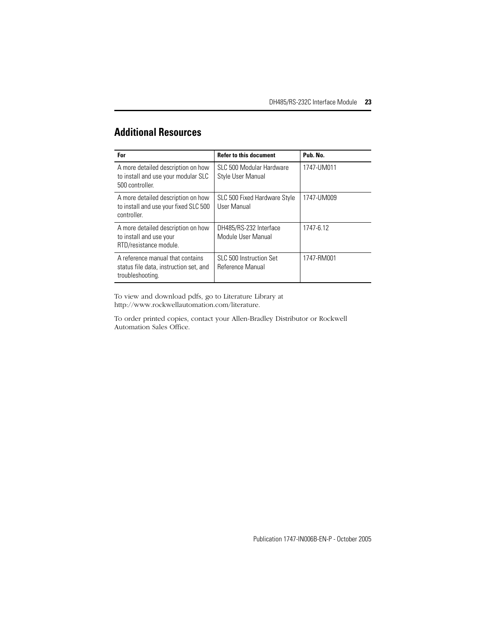## <span id="page-22-0"></span>**Additional Resources**

| For                                                                                            | <b>Refer to this document</b>                 | Pub. No.   |
|------------------------------------------------------------------------------------------------|-----------------------------------------------|------------|
| A more detailed description on how<br>to install and use your modular SLC<br>500 controller.   | SLC 500 Modular Hardware<br>Style User Manual | 1747-UM011 |
| A more detailed description on how<br>to install and use your fixed SLC 500<br>controller.     | SLC 500 Fixed Hardware Style<br>User Manual   | 1747-UM009 |
| A more detailed description on how<br>to install and use your<br>RTD/resistance module.        | DH485/RS-232 Interface<br>Module User Manual  | 1747-6.12  |
| A reference manual that contains<br>status file data, instruction set, and<br>troubleshooting. | SLC 500 Instruction Set<br>Reference Manual   | 1747-RM001 |

To view and download pdfs, go to Literature Library at http://www.rockwellautomation.com/literature.

To order printed copies, contact your Allen-Bradley Distributor or Rockwell Automation Sales Office.